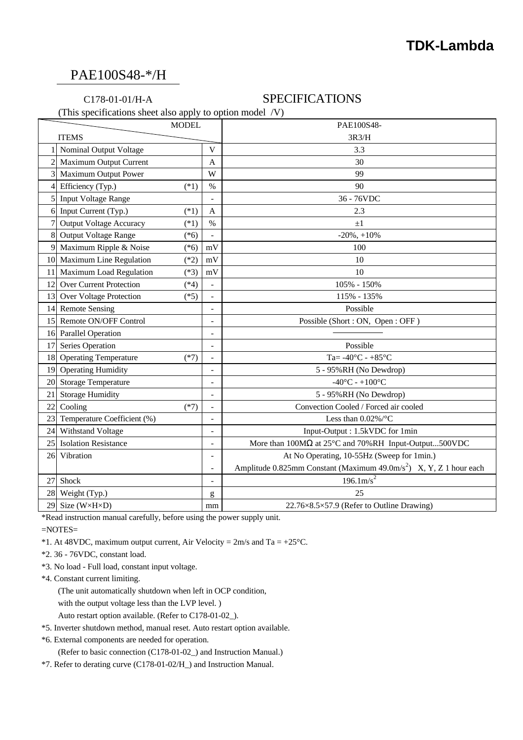### PAE100S48-\*/H

### C178-01-01/H-A SPECIFICATIONS

(This specifications sheet also apply to option model /V)

|                | <b>MODEL</b>                             |                          | PAE100S48-                                                                     |
|----------------|------------------------------------------|--------------------------|--------------------------------------------------------------------------------|
| <b>ITEMS</b>   |                                          |                          | 3R3/H                                                                          |
|                | Nominal Output Voltage                   | V                        | 3.3                                                                            |
| $\overline{c}$ | <b>Maximum Output Current</b>            | A                        | 30                                                                             |
| 3              | <b>Maximum Output Power</b>              | W                        | 99                                                                             |
| $\overline{4}$ | Efficiency (Typ.)<br>$(*1)$              | $\%$                     | 90                                                                             |
| 5              | <b>Input Voltage Range</b>               | $\overline{a}$           | 36 - 76VDC                                                                     |
|                | 6 Input Current (Typ.)<br>$(*1)$         | $\overline{A}$           | 2.3                                                                            |
| 7              | <b>Output Voltage Accuracy</b><br>$(*1)$ | $\%$                     | $\pm 1$                                                                        |
| 8              | Output Voltage Range<br>$(*6)$           | $\frac{1}{2}$            | $-20\%$ , $+10\%$                                                              |
| 9              | Maximum Ripple & Noise<br>$(*6)$         | mV                       | 100                                                                            |
|                | 10 Maximum Line Regulation<br>$(*2)$     | mV                       | 10                                                                             |
| 11             | Maximum Load Regulation<br>$(*3)$        | mV                       | 10                                                                             |
| 12             | <b>Over Current Protection</b><br>$(*4)$ | $\overline{a}$           | 105% - 150%                                                                    |
| 13             | Over Voltage Protection<br>$(*5)$        | $\overline{\phantom{a}}$ | 115% - 135%                                                                    |
|                | 14 Remote Sensing                        | $\overline{a}$           | Possible                                                                       |
|                | 15 Remote ON/OFF Control                 | $\overline{a}$           | Possible (Short: ON, Open: OFF)                                                |
|                | 16 Parallel Operation                    | $\overline{a}$           |                                                                                |
| 17             | Series Operation                         | $\overline{\phantom{a}}$ | Possible                                                                       |
| 18             | <b>Operating Temperature</b><br>$(*7)$   | $\overline{a}$           | Ta= $-40^{\circ}$ C - $+85^{\circ}$ C                                          |
| 19             | <b>Operating Humidity</b>                | $\overline{a}$           | 5 - 95%RH (No Dewdrop)                                                         |
| 20             | <b>Storage Temperature</b>               | $\overline{\phantom{a}}$ | $-40^{\circ}$ C - $+100^{\circ}$ C                                             |
| 21             | <b>Storage Humidity</b>                  | $\overline{\phantom{a}}$ | 5 - 95%RH (No Dewdrop)                                                         |
| 22             | Cooling<br>$(*7)$                        | $\overline{\phantom{a}}$ | Convection Cooled / Forced air cooled                                          |
| 23             | Temperature Coefficient (%)              | $\overline{\phantom{a}}$ | Less than $0.02\%$ /°C                                                         |
| 24             | Withstand Voltage                        | L,                       | Input-Output: 1.5kVDC for 1min                                                 |
| 25             | <b>Isolation Resistance</b>              | $\overline{a}$           | More than $100M\Omega$ at $25^{\circ}$ C and $70\%$ RH Input-Output500VDC      |
| 26             | Vibration                                | $\overline{\phantom{a}}$ | At No Operating, 10-55Hz (Sweep for 1min.)                                     |
|                |                                          | $\overline{a}$           | Amplitude 0.825mm Constant (Maximum 49.0m/s <sup>2</sup> ) X, Y, Z 1 hour each |
| 27             | Shock                                    | $\overline{a}$           | $196.1 \text{m/s}^2$                                                           |
| 28             | Weight (Typ.)                            | g                        | 25                                                                             |
| 29             | Size (W×H×D)                             | mm                       | 22.76×8.5×57.9 (Refer to Outline Drawing)                                      |

\*Read instruction manual carefully, before using the power supply unit.

=NOTES=

- \*1. At 48VDC, maximum output current, Air Velocity =  $2m/s$  and Ta =  $+25^{\circ}$ C.
- \*2. 36 76VDC, constant load.
- \*3. No load Full load, constant input voltage.
- \*4. Constant current limiting.
	- (The unit automatically shutdown when left in OCP condition,
	- with the output voltage less than the LVP level. )
	- Auto restart option available. (Refer to C178-01-02\_).
- \*5. Inverter shutdown method, manual reset. Auto restart option available.
- \*6. External components are needed for operation.

(Refer to basic connection (C178-01-02\_) and Instruction Manual.)

\*7. Refer to derating curve (C178-01-02/H\_) and Instruction Manual.